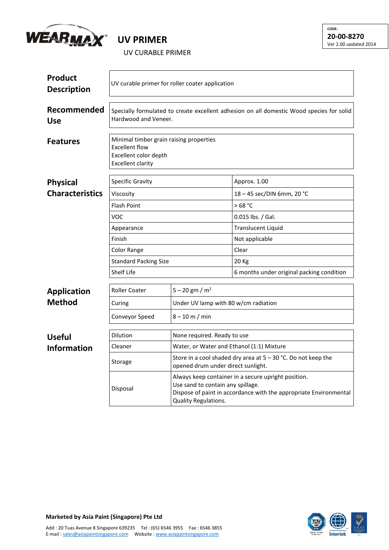

## **UV PRIMER**

UV CURABLE PRIMER

| <b>Product</b><br><b>Description</b> | UV curable primer for roller coater application                                                                       |                                                                                                                                                                                              |                                           |  |  |
|--------------------------------------|-----------------------------------------------------------------------------------------------------------------------|----------------------------------------------------------------------------------------------------------------------------------------------------------------------------------------------|-------------------------------------------|--|--|
| Recommended<br><b>Use</b>            | Specially formulated to create excellent adhesion on all domestic Wood species for solid<br>Hardwood and Veneer.      |                                                                                                                                                                                              |                                           |  |  |
| <b>Features</b>                      | Minimal timber grain raising properties<br><b>Excellent flow</b><br>Excellent color depth<br><b>Excellent clarity</b> |                                                                                                                                                                                              |                                           |  |  |
| <b>Physical</b>                      | <b>Specific Gravity</b>                                                                                               |                                                                                                                                                                                              | Approx. 1.00                              |  |  |
| <b>Characteristics</b>               | Viscosity                                                                                                             |                                                                                                                                                                                              | 18 - 45 sec/DIN 6mm, 20 °C                |  |  |
|                                      | <b>Flash Point</b>                                                                                                    |                                                                                                                                                                                              | >68 °C                                    |  |  |
|                                      | <b>VOC</b>                                                                                                            |                                                                                                                                                                                              | $0.015$ lbs. / Gal.                       |  |  |
|                                      | Appearance                                                                                                            |                                                                                                                                                                                              | Translucent Liquid                        |  |  |
|                                      | Finish                                                                                                                |                                                                                                                                                                                              | Not applicable                            |  |  |
|                                      | <b>Color Range</b>                                                                                                    |                                                                                                                                                                                              | Clear                                     |  |  |
|                                      | <b>Standard Packing Size</b>                                                                                          |                                                                                                                                                                                              | 20 Kg                                     |  |  |
|                                      | <b>Shelf Life</b>                                                                                                     |                                                                                                                                                                                              | 6 months under original packing condition |  |  |
| <b>Application</b>                   | <b>Roller Coater</b>                                                                                                  | $5 - 20$ gm / m <sup>2</sup>                                                                                                                                                                 |                                           |  |  |
| <b>Method</b>                        | Curing                                                                                                                | Under UV lamp with 80 w/cm radiation                                                                                                                                                         |                                           |  |  |
|                                      | Conveyor Speed                                                                                                        | $8 - 10$ m / min                                                                                                                                                                             |                                           |  |  |
| <b>Useful</b>                        | <b>Dilution</b>                                                                                                       | None required. Ready to use                                                                                                                                                                  |                                           |  |  |
| <b>Information</b>                   | Cleaner                                                                                                               | Water, or Water and Ethanol (1:1) Mixture                                                                                                                                                    |                                           |  |  |
|                                      | Storage                                                                                                               | Store in a cool shaded dry area at $5 - 30$ °C. Do not keep the<br>opened drum under direct sunlight.                                                                                        |                                           |  |  |
|                                      | Disposal                                                                                                              | Always keep container in a secure upright position.<br>Use sand to contain any spillage.<br>Dispose of paint in accordance with the appropriate Environmental<br><b>Quality Regulations.</b> |                                           |  |  |